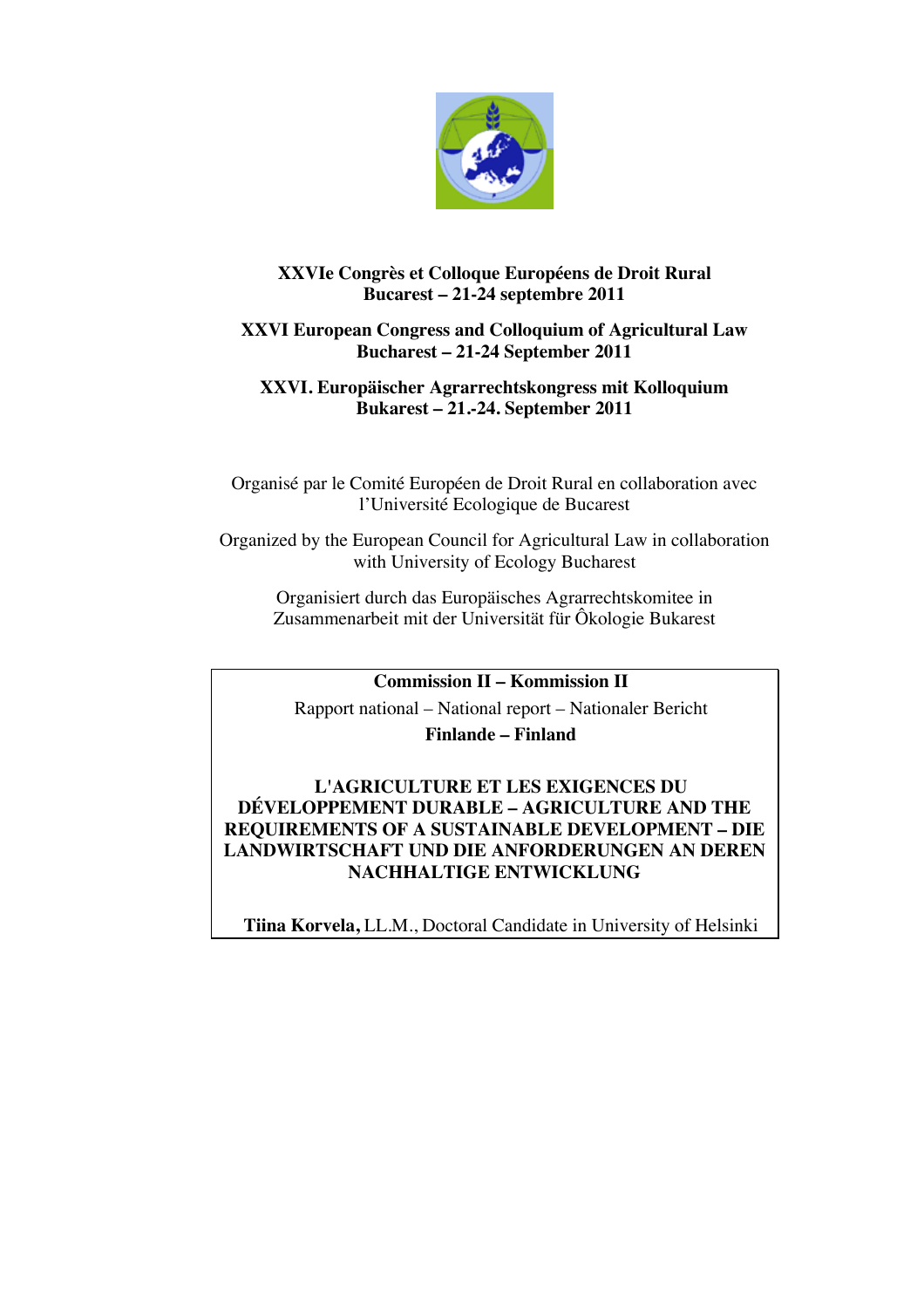

# **XXVIe Congrès et Colloque Européens de Droit Rural Bucarest – 21-24 septembre 2011**

# **XXVI European Congress and Colloquium of Agricultural Law Bucharest – 21-24 September 2011**

# **XXVI. Europäischer Agrarrechtskongress mit Kolloquium Bukarest – 21.-24. September 2011**

Organisé par le Comité Européen de Droit Rural en collaboration avec l'Université Ecologique de Bucarest

Organized by the European Council for Agricultural Law in collaboration with University of Ecology Bucharest

Organisiert durch das Europäisches Agrarrechtskomitee in Zusammenarbeit mit der Universität für Ôkologie Bukarest

**Commission II – Kommission II**

Rapport national – National report – Nationaler Bericht

**Finlande – Finland**

# **L'AGRICULTURE ET LES EXIGENCES DU DÉVELOPPEMENT DURABLE – AGRICULTURE AND THE REQUIREMENTS OF A SUSTAINABLE DEVELOPMENT – DIE LANDWIRTSCHAFT UND DIE ANFORDERUNGEN AN DEREN NACHHALTIGE ENTWICKLUNG**

**Tiina Korvela,** LL.M., Doctoral Candidate in University of Helsinki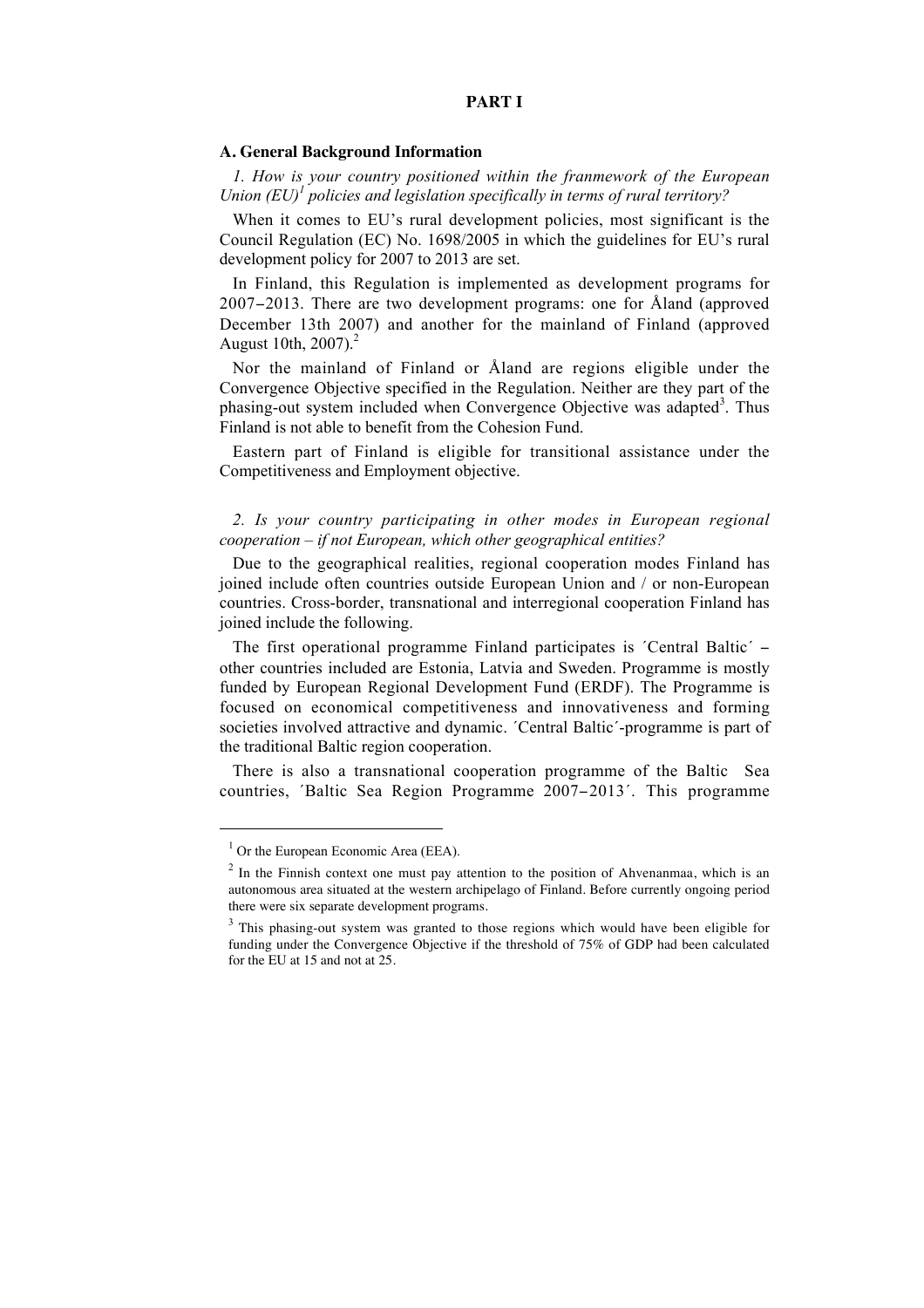# **PART I**

### **A. General Background Information**

*1. How is your country positioned within the franmework of the European Union (EU)<sup>1</sup> policies and legislation specifically in terms of rural territory?*

When it comes to EU's rural development policies, most significant is the Council Regulation (EC) No. 1698/2005 in which the guidelines for EU's rural development policy for 2007 to 2013 are set.

In Finland, this Regulation is implemented as development programs for 2007−2013. There are two development programs: one for Åland (approved December 13th 2007) and another for the mainland of Finland (approved August 10th,  $2007$ ).<sup>2</sup>

Nor the mainland of Finland or Åland are regions eligible under the Convergence Objective specified in the Regulation. Neither are they part of the phasing-out system included when Convergence Objective was adapted<sup>3</sup>. Thus Finland is not able to benefit from the Cohesion Fund.

Eastern part of Finland is eligible for transitional assistance under the Competitiveness and Employment objective.

# *2. Is your country participating in other modes in European regional cooperation – if not European, which other geographical entities?*

Due to the geographical realities, regional cooperation modes Finland has joined include often countries outside European Union and / or non-European countries. Cross-border, transnational and interregional cooperation Finland has joined include the following.

The first operational programme Finland participates is 'Central Baltic' – other countries included are Estonia, Latvia and Sweden. Programme is mostly funded by European Regional Development Fund (ERDF). The Programme is focused on economical competitiveness and innovativeness and forming societies involved attractive and dynamic. ´Central Baltic´-programme is part of the traditional Baltic region cooperation.

There is also a transnational cooperation programme of the Baltic Sea countries, ´Baltic Sea Region Programme 2007−2013´. This programme

 $<sup>1</sup>$  Or the European Economic Area (EEA).</sup>

 $2$  In the Finnish context one must pay attention to the position of Ahvenanmaa, which is an autonomous area situated at the western archipelago of Finland. Before currently ongoing period there were six separate development programs.

<sup>&</sup>lt;sup>3</sup> This phasing-out system was granted to those regions which would have been eligible for funding under the Convergence Objective if the threshold of 75% of GDP had been calculated for the EU at 15 and not at 25.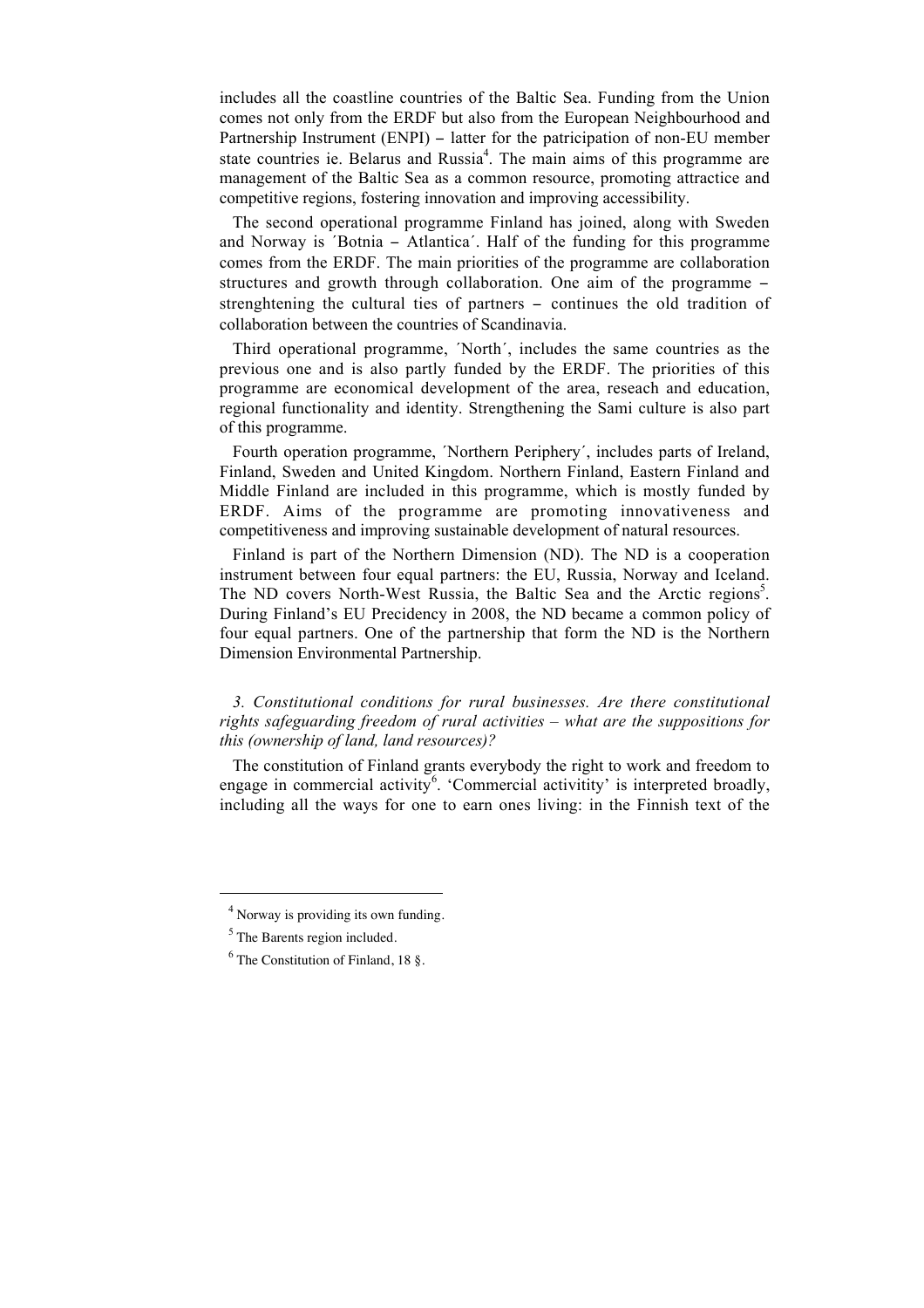includes all the coastline countries of the Baltic Sea. Funding from the Union comes not only from the ERDF but also from the European Neighbourhood and Partnership Instrument (ENPI) – latter for the patricipation of non-EU member state countries ie. Belarus and Russia<sup>4</sup>. The main aims of this programme are management of the Baltic Sea as a common resource, promoting attractice and competitive regions, fostering innovation and improving accessibility.

The second operational programme Finland has joined, along with Sweden and Norway is ´Botnia − Atlantica´. Half of the funding for this programme comes from the ERDF. The main priorities of the programme are collaboration structures and growth through collaboration. One aim of the programme − strenghtening the cultural ties of partners – continues the old tradition of collaboration between the countries of Scandinavia.

Third operational programme, ´North´, includes the same countries as the previous one and is also partly funded by the ERDF. The priorities of this programme are economical development of the area, reseach and education, regional functionality and identity. Strengthening the Sami culture is also part of this programme.

Fourth operation programme, ´Northern Periphery´, includes parts of Ireland, Finland, Sweden and United Kingdom. Northern Finland, Eastern Finland and Middle Finland are included in this programme, which is mostly funded by ERDF. Aims of the programme are promoting innovativeness and competitiveness and improving sustainable development of natural resources.

Finland is part of the Northern Dimension (ND). The ND is a cooperation instrument between four equal partners: the EU, Russia, Norway and Iceland. The ND covers North-West Russia, the Baltic Sea and the Arctic regions<sup>5</sup>. During Finland's EU Precidency in 2008, the ND became a common policy of four equal partners. One of the partnership that form the ND is the Northern Dimension Environmental Partnership.

*3. Constitutional conditions for rural businesses. Are there constitutional rights safeguarding freedom of rural activities – what are the suppositions for this (ownership of land, land resources)?*

The constitution of Finland grants everybody the right to work and freedom to engage in commercial activity<sup>6</sup>. 'Commercial activitity' is interpreted broadly, including all the ways for one to earn ones living: in the Finnish text of the

<sup>&</sup>lt;sup>4</sup> Norway is providing its own funding.

<sup>&</sup>lt;sup>5</sup> The Barents region included.

 $6$  The Constitution of Finland, 18  $\S$ .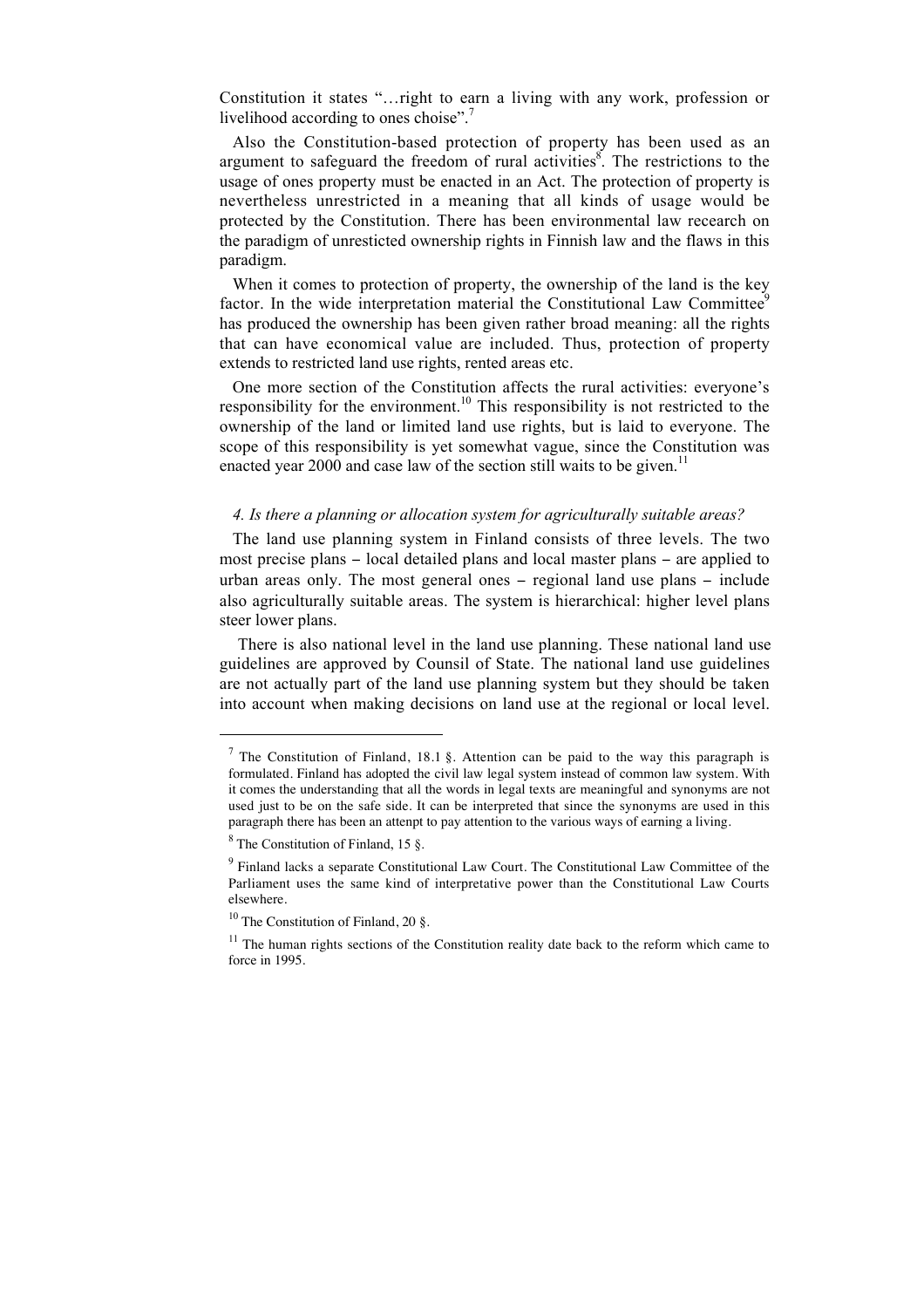Constitution it states "…right to earn a living with any work, profession or livelihood according to ones choise".<sup>7</sup>

Also the Constitution-based protection of property has been used as an argument to safeguard the freedom of rural activities $\delta$ . The restrictions to the usage of ones property must be enacted in an Act. The protection of property is nevertheless unrestricted in a meaning that all kinds of usage would be protected by the Constitution. There has been environmental law recearch on the paradigm of unresticted ownership rights in Finnish law and the flaws in this paradigm.

When it comes to protection of property, the ownership of the land is the key factor. In the wide interpretation material the Constitutional Law Committee<sup>9</sup> has produced the ownership has been given rather broad meaning: all the rights that can have economical value are included. Thus, protection of property extends to restricted land use rights, rented areas etc.

One more section of the Constitution affects the rural activities: everyone's responsibility for the environment.<sup>10</sup> This responsibility is not restricted to the ownership of the land or limited land use rights, but is laid to everyone. The scope of this responsibility is yet somewhat vague, since the Constitution was enacted year 2000 and case law of the section still waits to be given.<sup>11</sup>

### *4. Is there a planning or allocation system for agriculturally suitable areas?*

The land use planning system in Finland consists of three levels. The two most precise plans − local detailed plans and local master plans − are applied to urban areas only. The most general ones − regional land use plans − include also agriculturally suitable areas. The system is hierarchical: higher level plans steer lower plans.

There is also national level in the land use planning. These national land use guidelines are approved by Counsil of State. The national land use guidelines are not actually part of the land use planning system but they should be taken into account when making decisions on land use at the regional or local level.

<sup>&</sup>lt;sup>7</sup> The Constitution of Finland, 18.1 §. Attention can be paid to the way this paragraph is formulated. Finland has adopted the civil law legal system instead of common law system. With it comes the understanding that all the words in legal texts are meaningful and synonyms are not used just to be on the safe side. It can be interpreted that since the synonyms are used in this paragraph there has been an attenpt to pay attention to the various ways of earning a living.

 $8$  The Constitution of Finland, 15  $\S$ .

<sup>9</sup> Finland lacks a separate Constitutional Law Court. The Constitutional Law Committee of the Parliament uses the same kind of interpretative power than the Constitutional Law Courts elsewhere.

 $10$  The Constitution of Finland, 20 §.

 $11$  The human rights sections of the Constitution reality date back to the reform which came to force in 1995.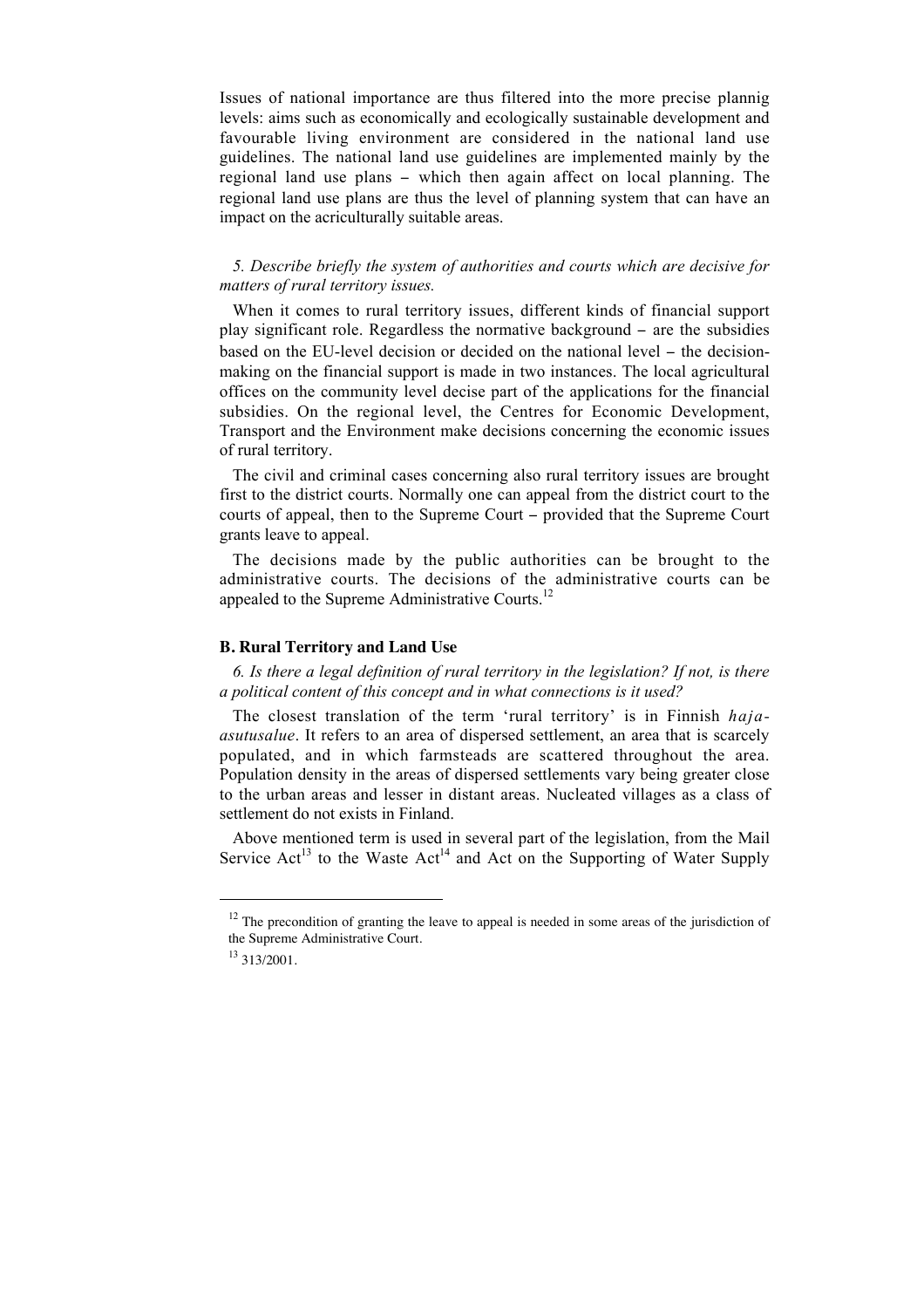Issues of national importance are thus filtered into the more precise plannig levels: aims such as economically and ecologically sustainable development and favourable living environment are considered in the national land use guidelines. The national land use guidelines are implemented mainly by the regional land use plans − which then again affect on local planning. The regional land use plans are thus the level of planning system that can have an impact on the acriculturally suitable areas.

## *5. Describe briefly the system of authorities and courts which are decisive for matters of rural territory issues.*

When it comes to rural territory issues, different kinds of financial support play significant role. Regardless the normative background − are the subsidies based on the EU-level decision or decided on the national level − the decisionmaking on the financial support is made in two instances. The local agricultural offices on the community level decise part of the applications for the financial subsidies. On the regional level, the Centres for Economic Development, Transport and the Environment make decisions concerning the economic issues of rural territory.

The civil and criminal cases concerning also rural territory issues are brought first to the district courts. Normally one can appeal from the district court to the courts of appeal, then to the Supreme Court − provided that the Supreme Court grants leave to appeal.

The decisions made by the public authorities can be brought to the administrative courts. The decisions of the administrative courts can be appealed to the Supreme Administrative Courts.<sup>12</sup>

### **B. Rural Territory and Land Use**

*6. Is there a legal definition of rural territory in the legislation? If not, is there a political content of this concept and in what connections is it used?*

The closest translation of the term 'rural territory' is in Finnish *hajaasutusalue*. It refers to an area of dispersed settlement, an area that is scarcely populated, and in which farmsteads are scattered throughout the area. Population density in the areas of dispersed settlements vary being greater close to the urban areas and lesser in distant areas. Nucleated villages as a class of settlement do not exists in Finland.

Above mentioned term is used in several part of the legislation, from the Mail Service  $Act^{13}$  to the Waste  $Act^{14}$  and Act on the Supporting of Water Supply

 $12$  The precondition of granting the leave to appeal is needed in some areas of the jurisdiction of the Supreme Administrative Court.

<sup>13</sup> 313/2001.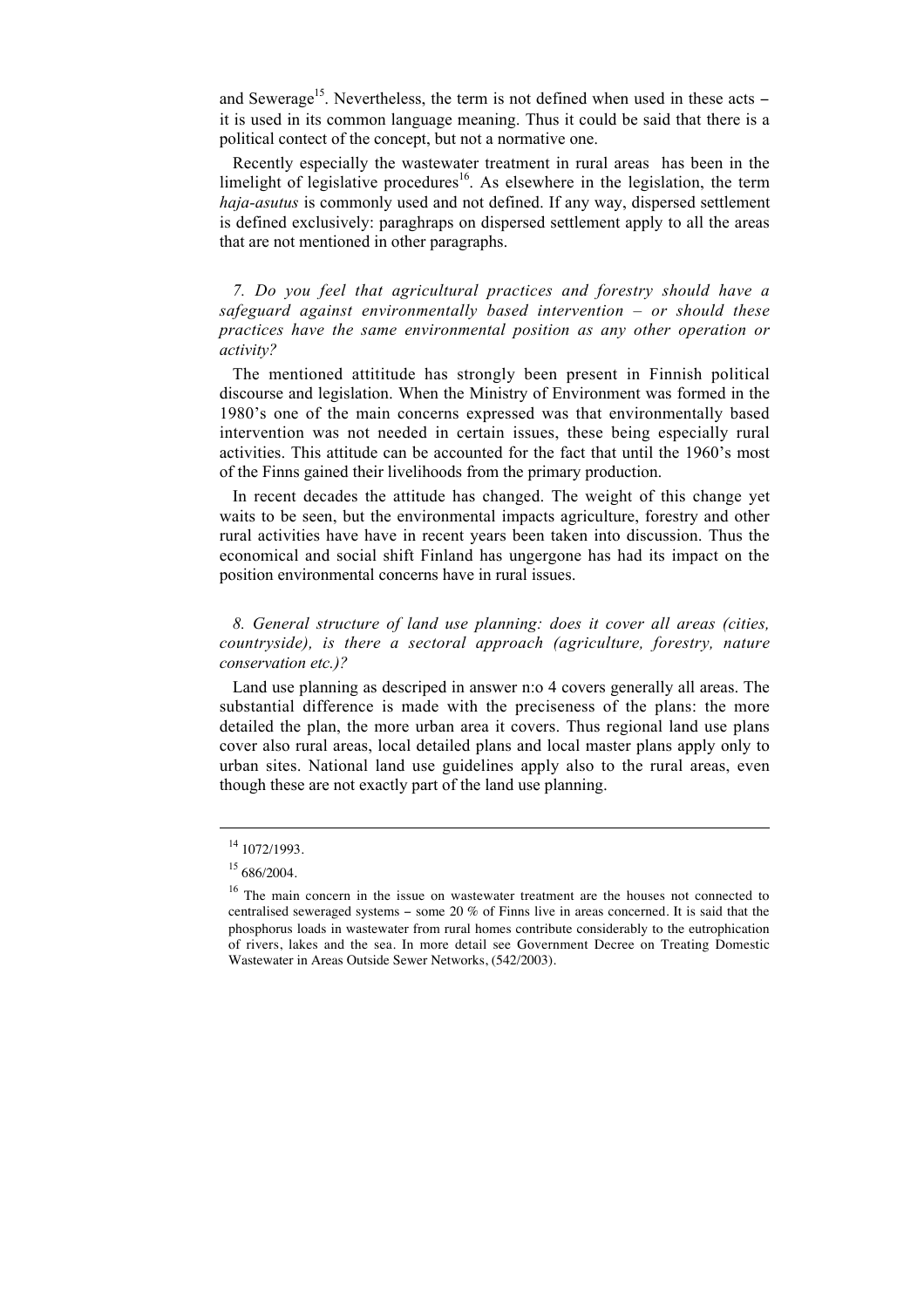and Sewerage<sup>15</sup>. Nevertheless, the term is not defined when used in these acts − it is used in its common language meaning. Thus it could be said that there is a political contect of the concept, but not a normative one.

Recently especially the wastewater treatment in rural areas has been in the limelight of legislative procedures<sup>16</sup>. As elsewhere in the legislation, the term *haja-asutus* is commonly used and not defined. If any way, dispersed settlement is defined exclusively: paraghraps on dispersed settlement apply to all the areas that are not mentioned in other paragraphs.

*7. Do you feel that agricultural practices and forestry should have a safeguard against environmentally based intervention – or should these practices have the same environmental position as any other operation or activity?*

The mentioned attititude has strongly been present in Finnish political discourse and legislation. When the Ministry of Environment was formed in the 1980's one of the main concerns expressed was that environmentally based intervention was not needed in certain issues, these being especially rural activities. This attitude can be accounted for the fact that until the 1960's most of the Finns gained their livelihoods from the primary production.

In recent decades the attitude has changed. The weight of this change yet waits to be seen, but the environmental impacts agriculture, forestry and other rural activities have have in recent years been taken into discussion. Thus the economical and social shift Finland has ungergone has had its impact on the position environmental concerns have in rural issues.

*8. General structure of land use planning: does it cover all areas (cities, countryside), is there a sectoral approach (agriculture, forestry, nature conservation etc.)?*

Land use planning as descriped in answer n:o 4 covers generally all areas. The substantial difference is made with the preciseness of the plans: the more detailed the plan, the more urban area it covers. Thus regional land use plans cover also rural areas, local detailed plans and local master plans apply only to urban sites. National land use guidelines apply also to the rural areas, even though these are not exactly part of the land use planning.

<sup>14</sup> 1072/1993.

 $15\,686/2004$ .

<sup>&</sup>lt;sup>16</sup> The main concern in the issue on wastewater treatment are the houses not connected to centralised seweraged systems − some 20 % of Finns live in areas concerned. It is said that the phosphorus loads in wastewater from rural homes contribute considerably to the eutrophication of rivers, lakes and the sea. In more detail see Government Decree on Treating Domestic Wastewater in Areas Outside Sewer Networks, (542/2003).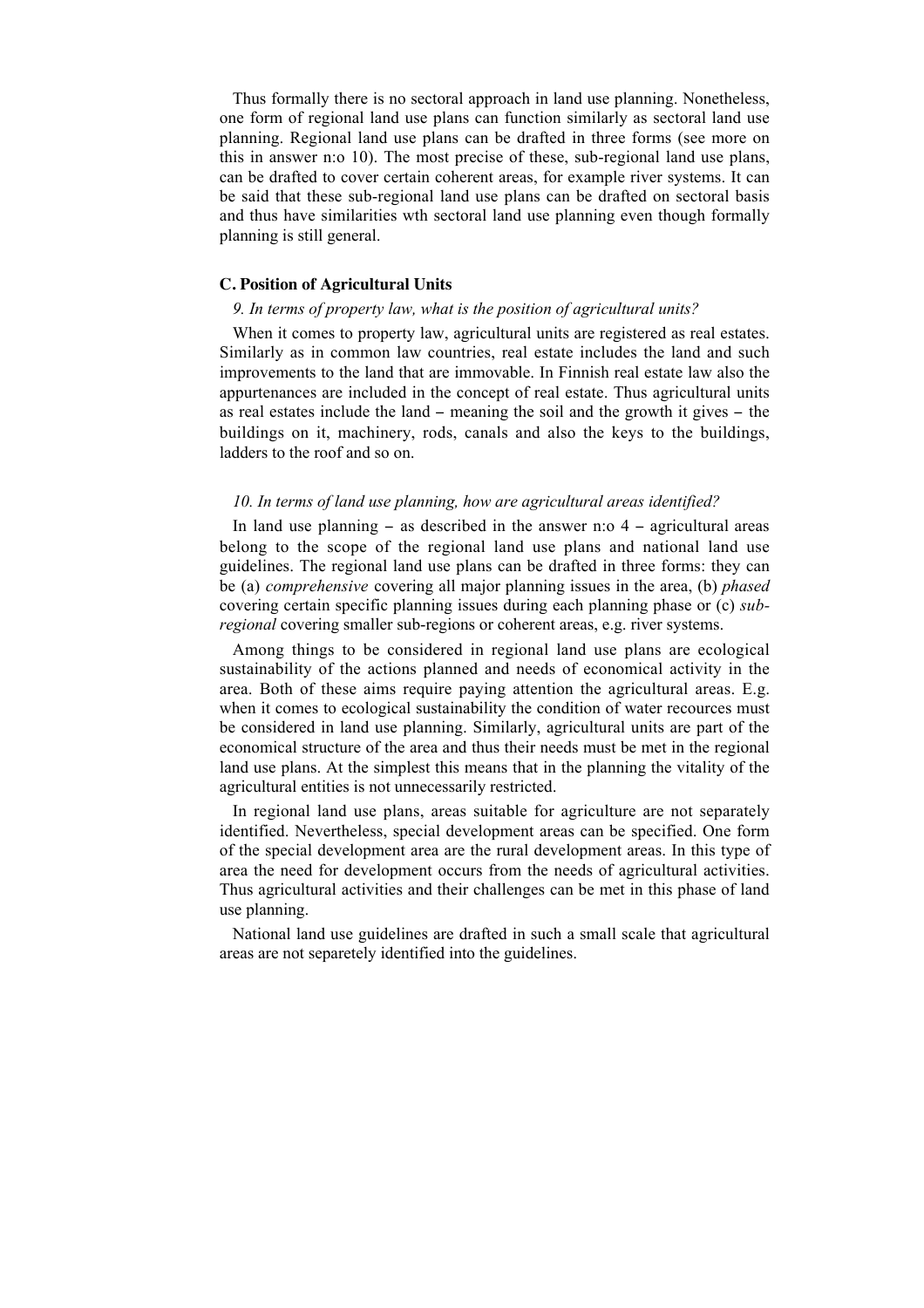Thus formally there is no sectoral approach in land use planning. Nonetheless, one form of regional land use plans can function similarly as sectoral land use planning. Regional land use plans can be drafted in three forms (see more on this in answer n:o 10). The most precise of these, sub-regional land use plans, can be drafted to cover certain coherent areas, for example river systems. It can be said that these sub-regional land use plans can be drafted on sectoral basis and thus have similarities wth sectoral land use planning even though formally planning is still general.

### **C. Position of Agricultural Units**

#### *9. In terms of property law, what is the position of agricultural units?*

When it comes to property law, agricultural units are registered as real estates. Similarly as in common law countries, real estate includes the land and such improvements to the land that are immovable. In Finnish real estate law also the appurtenances are included in the concept of real estate. Thus agricultural units as real estates include the land − meaning the soil and the growth it gives − the buildings on it, machinery, rods, canals and also the keys to the buildings, ladders to the roof and so on.

### *10. In terms of land use planning, how are agricultural areas identified?*

In land use planning − as described in the answer n:o 4 − agricultural areas belong to the scope of the regional land use plans and national land use guidelines. The regional land use plans can be drafted in three forms: they can be (a) *comprehensive* covering all major planning issues in the area, (b) *phased* covering certain specific planning issues during each planning phase or (c) *subregional* covering smaller sub-regions or coherent areas, e.g. river systems.

Among things to be considered in regional land use plans are ecological sustainability of the actions planned and needs of economical activity in the area. Both of these aims require paying attention the agricultural areas. E.g. when it comes to ecological sustainability the condition of water recources must be considered in land use planning. Similarly, agricultural units are part of the economical structure of the area and thus their needs must be met in the regional land use plans. At the simplest this means that in the planning the vitality of the agricultural entities is not unnecessarily restricted.

In regional land use plans, areas suitable for agriculture are not separately identified. Nevertheless, special development areas can be specified. One form of the special development area are the rural development areas. In this type of area the need for development occurs from the needs of agricultural activities. Thus agricultural activities and their challenges can be met in this phase of land use planning.

National land use guidelines are drafted in such a small scale that agricultural areas are not separetely identified into the guidelines.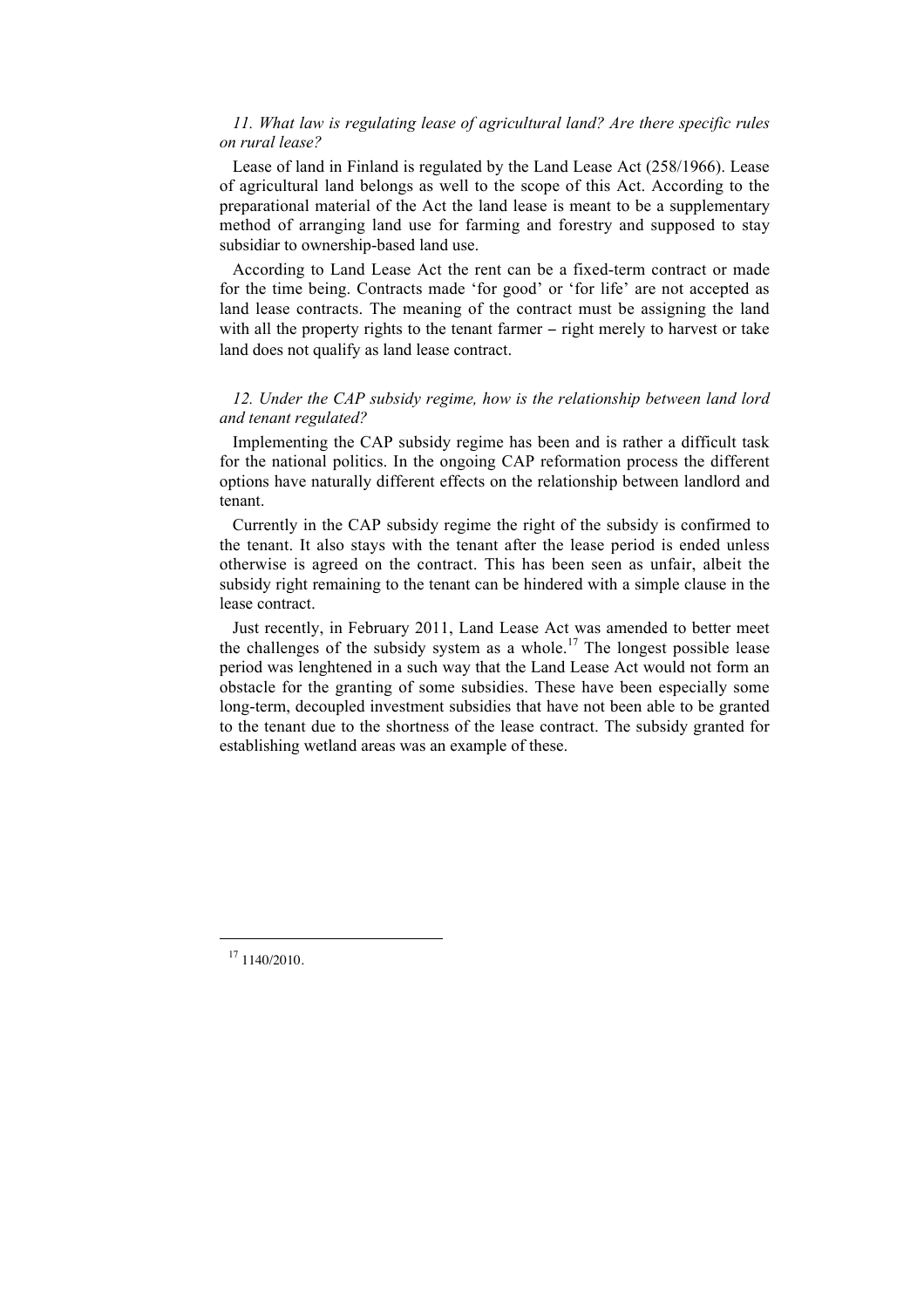## *11. What law is regulating lease of agricultural land? Are there specific rules on rural lease?*

Lease of land in Finland is regulated by the Land Lease Act (258/1966). Lease of agricultural land belongs as well to the scope of this Act. According to the preparational material of the Act the land lease is meant to be a supplementary method of arranging land use for farming and forestry and supposed to stay subsidiar to ownership-based land use.

According to Land Lease Act the rent can be a fixed-term contract or made for the time being. Contracts made 'for good' or 'for life' are not accepted as land lease contracts. The meaning of the contract must be assigning the land with all the property rights to the tenant farmer – right merely to harvest or take land does not qualify as land lease contract.

### *12. Under the CAP subsidy regime, how is the relationship between land lord and tenant regulated?*

Implementing the CAP subsidy regime has been and is rather a difficult task for the national politics. In the ongoing CAP reformation process the different options have naturally different effects on the relationship between landlord and tenant.

Currently in the CAP subsidy regime the right of the subsidy is confirmed to the tenant. It also stays with the tenant after the lease period is ended unless otherwise is agreed on the contract. This has been seen as unfair, albeit the subsidy right remaining to the tenant can be hindered with a simple clause in the lease contract.

Just recently, in February 2011, Land Lease Act was amended to better meet the challenges of the subsidy system as a whole.<sup>17</sup> The longest possible lease period was lenghtened in a such way that the Land Lease Act would not form an obstacle for the granting of some subsidies. These have been especially some long-term, decoupled investment subsidies that have not been able to be granted to the tenant due to the shortness of the lease contract. The subsidy granted for establishing wetland areas was an example of these.

<sup>17</sup> 1140/2010.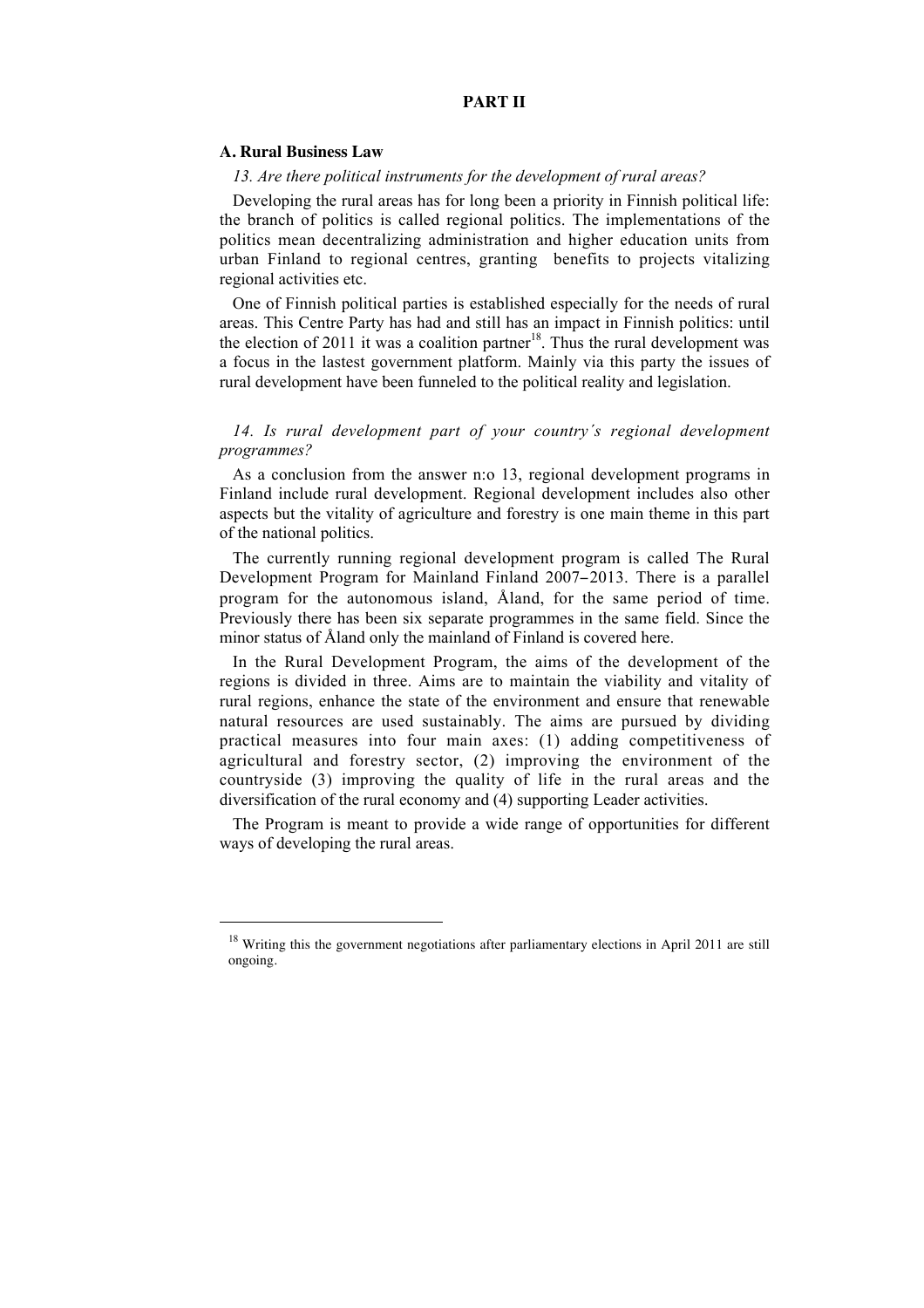# **PART II**

#### **A. Rural Business Law**

 $\overline{a}$ 

### *13. Are there political instruments for the development of rural areas?*

Developing the rural areas has for long been a priority in Finnish political life: the branch of politics is called regional politics. The implementations of the politics mean decentralizing administration and higher education units from urban Finland to regional centres, granting benefits to projects vitalizing regional activities etc.

One of Finnish political parties is established especially for the needs of rural areas. This Centre Party has had and still has an impact in Finnish politics: until the election of 2011 it was a coalition partner<sup>18</sup>. Thus the rural development was a focus in the lastest government platform. Mainly via this party the issues of rural development have been funneled to the political reality and legislation.

## *14. Is rural development part of your country´s regional development programmes?*

As a conclusion from the answer n:o 13, regional development programs in Finland include rural development. Regional development includes also other aspects but the vitality of agriculture and forestry is one main theme in this part of the national politics.

The currently running regional development program is called The Rural Development Program for Mainland Finland 2007−2013. There is a parallel program for the autonomous island, Åland, for the same period of time. Previously there has been six separate programmes in the same field. Since the minor status of Åland only the mainland of Finland is covered here.

In the Rural Development Program, the aims of the development of the regions is divided in three. Aims are to maintain the viability and vitality of rural regions, enhance the state of the environment and ensure that renewable natural resources are used sustainably. The aims are pursued by dividing practical measures into four main axes: (1) adding competitiveness of agricultural and forestry sector, (2) improving the environment of the countryside (3) improving the quality of life in the rural areas and the diversification of the rural economy and (4) supporting Leader activities.

The Program is meant to provide a wide range of opportunities for different ways of developing the rural areas.

<sup>&</sup>lt;sup>18</sup> Writing this the government negotiations after parliamentary elections in April 2011 are still ongoing.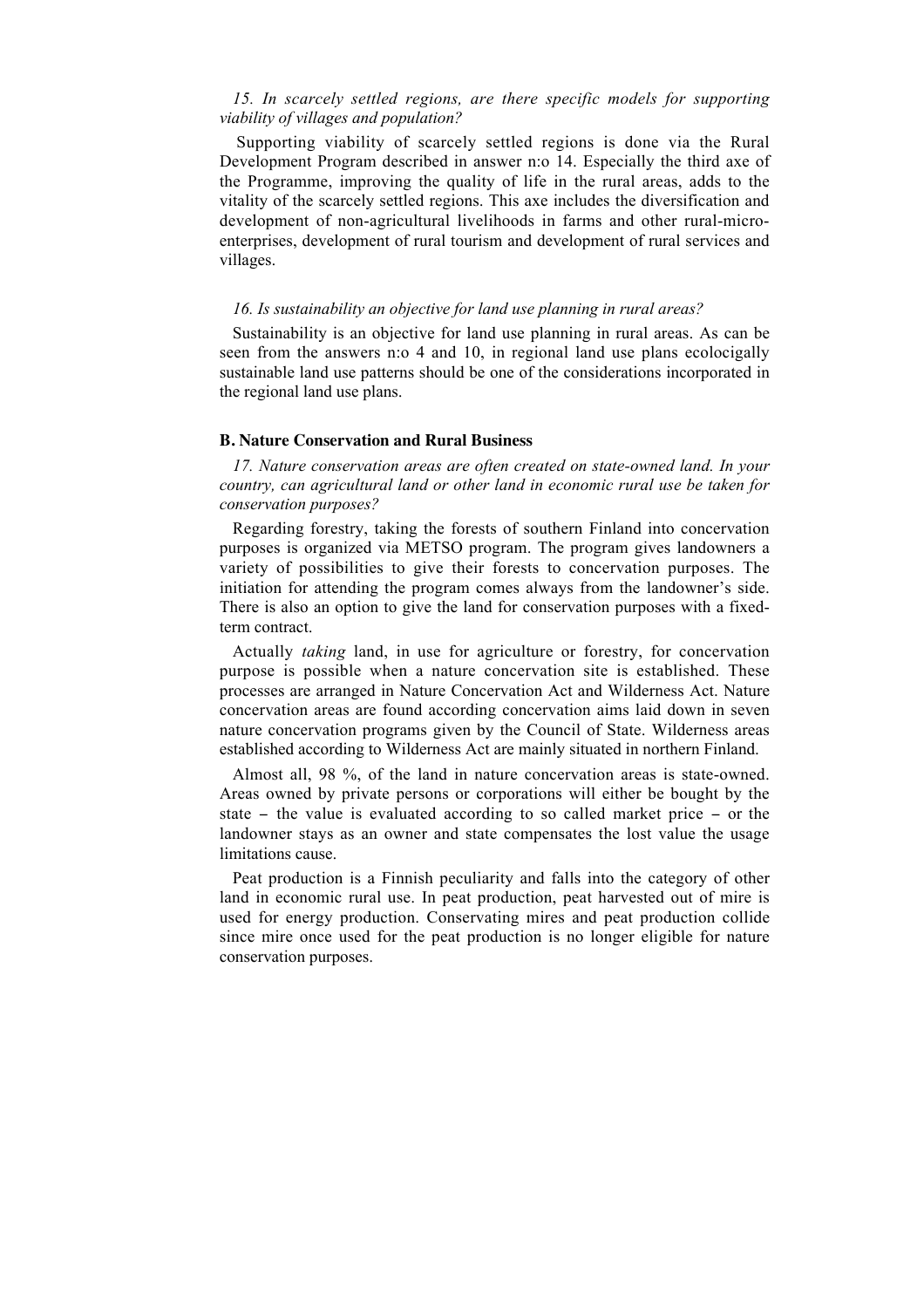## *15. In scarcely settled regions, are there specific models for supporting viability of villages and population?*

Supporting viability of scarcely settled regions is done via the Rural Development Program described in answer n:o 14. Especially the third axe of the Programme, improving the quality of life in the rural areas, adds to the vitality of the scarcely settled regions. This axe includes the diversification and development of non-agricultural livelihoods in farms and other rural-microenterprises, development of rural tourism and development of rural services and villages.

### *16. Is sustainability an objective for land use planning in rural areas?*

Sustainability is an objective for land use planning in rural areas. As can be seen from the answers n:o 4 and 10, in regional land use plans ecolocigally sustainable land use patterns should be one of the considerations incorporated in the regional land use plans.

### **B. Nature Conservation and Rural Business**

*17. Nature conservation areas are often created on state-owned land. In your country, can agricultural land or other land in economic rural use be taken for conservation purposes?*

Regarding forestry, taking the forests of southern Finland into concervation purposes is organized via METSO program. The program gives landowners a variety of possibilities to give their forests to concervation purposes. The initiation for attending the program comes always from the landowner's side. There is also an option to give the land for conservation purposes with a fixedterm contract.

Actually *taking* land, in use for agriculture or forestry, for concervation purpose is possible when a nature concervation site is established. These processes are arranged in Nature Concervation Act and Wilderness Act. Nature concervation areas are found according concervation aims laid down in seven nature concervation programs given by the Council of State. Wilderness areas established according to Wilderness Act are mainly situated in northern Finland.

Almost all, 98 %, of the land in nature concervation areas is state-owned. Areas owned by private persons or corporations will either be bought by the state − the value is evaluated according to so called market price − or the landowner stays as an owner and state compensates the lost value the usage limitations cause.

Peat production is a Finnish peculiarity and falls into the category of other land in economic rural use. In peat production, peat harvested out of mire is used for energy production. Conservating mires and peat production collide since mire once used for the peat production is no longer eligible for nature conservation purposes.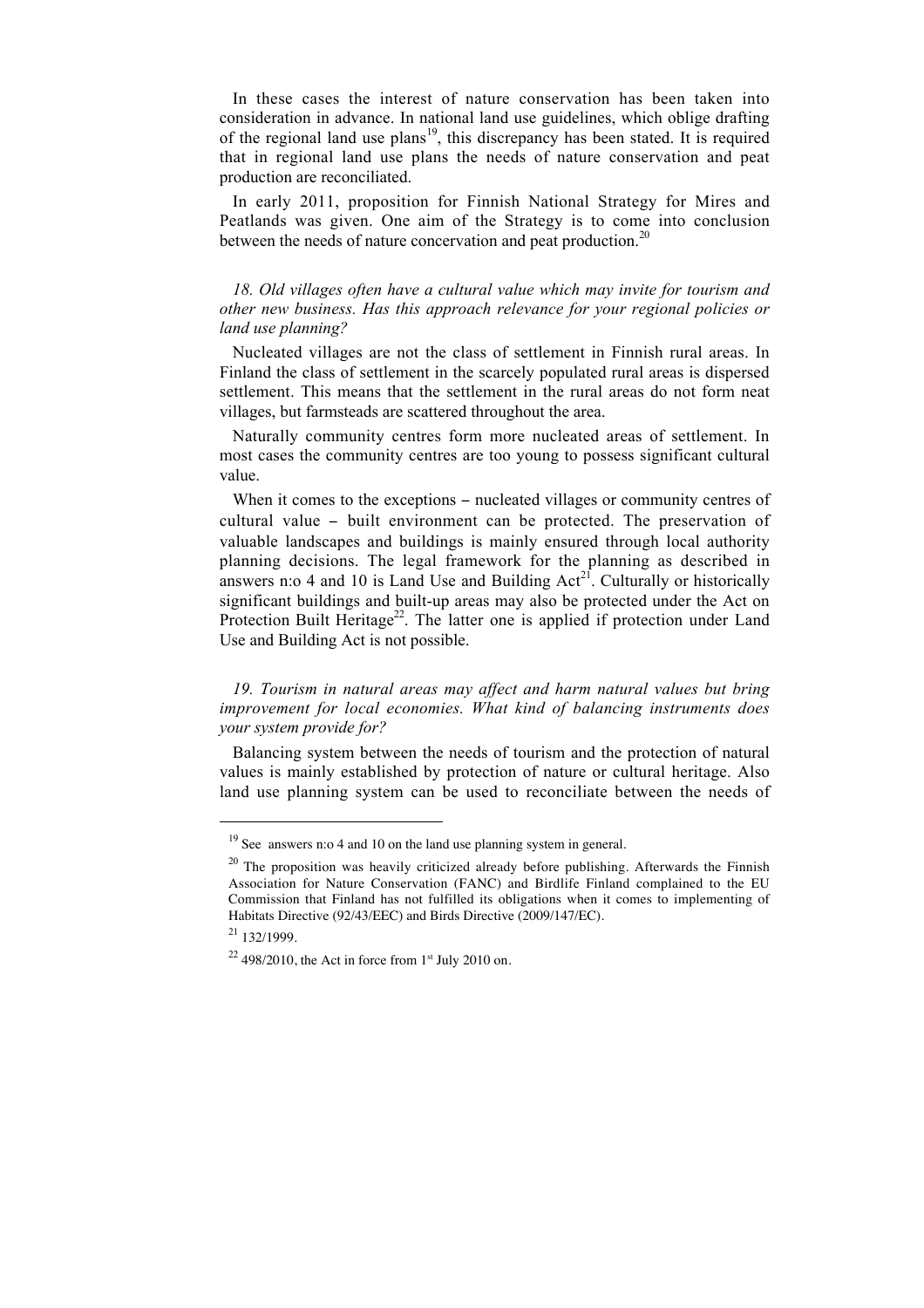In these cases the interest of nature conservation has been taken into consideration in advance. In national land use guidelines, which oblige drafting of the regional land use plans<sup>19</sup>, this discrepancy has been stated. It is required that in regional land use plans the needs of nature conservation and peat production are reconciliated.

In early 2011, proposition for Finnish National Strategy for Mires and Peatlands was given. One aim of the Strategy is to come into conclusion between the needs of nature concervation and peat production.<sup>20</sup>

*18. Old villages often have a cultural value which may invite for tourism and other new business. Has this approach relevance for your regional policies or land use planning?*

Nucleated villages are not the class of settlement in Finnish rural areas. In Finland the class of settlement in the scarcely populated rural areas is dispersed settlement. This means that the settlement in the rural areas do not form neat villages, but farmsteads are scattered throughout the area.

Naturally community centres form more nucleated areas of settlement. In most cases the community centres are too young to possess significant cultural value.

When it comes to the exceptions – nucleated villages or community centres of cultural value − built environment can be protected. The preservation of valuable landscapes and buildings is mainly ensured through local authority planning decisions. The legal framework for the planning as described in answers n:o 4 and 10 is Land Use and Building  $Act^{2\overline{1}}$ . Culturally or historically significant buildings and built-up areas may also be protected under the Act on Protection Built Heritage<sup>22</sup>. The latter one is applied if protection under Land Use and Building Act is not possible.

*19. Tourism in natural areas may affect and harm natural values but bring improvement for local economies. What kind of balancing instruments does your system provide for?*

Balancing system between the needs of tourism and the protection of natural values is mainly established by protection of nature or cultural heritage. Also land use planning system can be used to reconciliate between the needs of

 $19$  See answers n:o 4 and 10 on the land use planning system in general.

<sup>&</sup>lt;sup>20</sup> The proposition was heavily criticized already before publishing. Afterwards the Finnish Association for Nature Conservation (FANC) and Birdlife Finland complained to the EU Commission that Finland has not fulfilled its obligations when it comes to implementing of Habitats Directive (92/43/EEC) and Birds Directive (2009/147/EC).

 $^{21}$  132/1999.

 $22$  498/2010, the Act in force from 1<sup>st</sup> July 2010 on.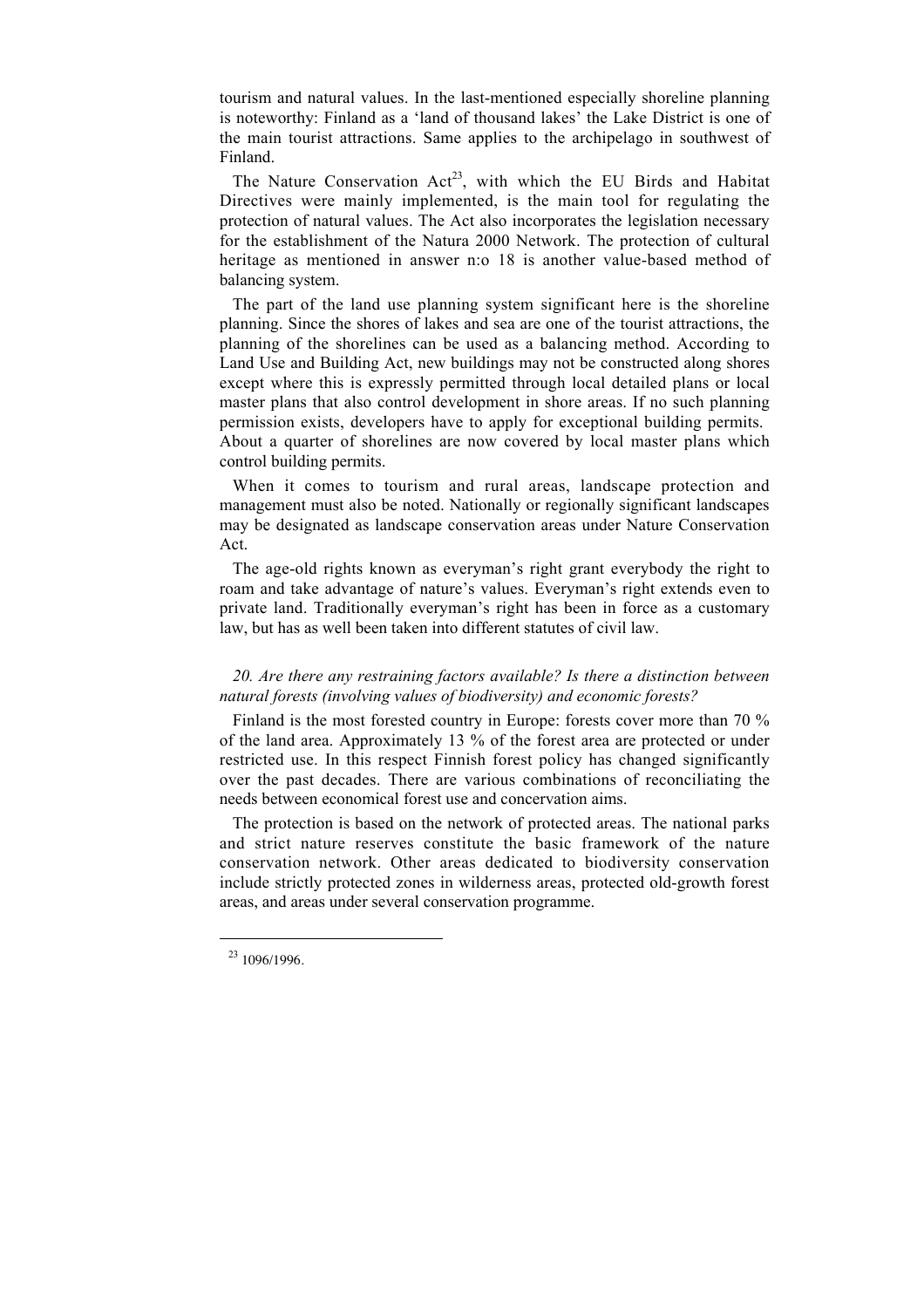tourism and natural values. In the last-mentioned especially shoreline planning is noteworthy: Finland as a 'land of thousand lakes' the Lake District is one of the main tourist attractions. Same applies to the archipelago in southwest of Finland.

The Nature Conservation  $Act^{23}$ , with which the EU Birds and Habitat Directives were mainly implemented, is the main tool for regulating the protection of natural values. The Act also incorporates the legislation necessary for the establishment of the Natura 2000 Network. The protection of cultural heritage as mentioned in answer n:o 18 is another value-based method of balancing system.

The part of the land use planning system significant here is the shoreline planning. Since the shores of lakes and sea are one of the tourist attractions, the planning of the shorelines can be used as a balancing method. According to Land Use and Building Act, new buildings may not be constructed along shores except where this is expressly permitted through local detailed plans or local master plans that also control development in shore areas. If no such planning permission exists, developers have to apply for exceptional building permits. About a quarter of shorelines are now covered by local master plans which control building permits.

When it comes to tourism and rural areas, landscape protection and management must also be noted. Nationally or regionally significant landscapes may be designated as landscape conservation areas under Nature Conservation Act.

The age-old rights known as everyman's right grant everybody the right to roam and take advantage of nature's values. Everyman's right extends even to private land. Traditionally everyman's right has been in force as a customary law, but has as well been taken into different statutes of civil law.

# *20. Are there any restraining factors available? Is there a distinction between natural forests (involving values of biodiversity) and economic forests?*

Finland is the most forested country in Europe: forests cover more than 70 % of the land area. Approximately 13 % of the forest area are protected or under restricted use. In this respect Finnish forest policy has changed significantly over the past decades. There are various combinations of reconciliating the needs between economical forest use and concervation aims.

The protection is based on the network of protected areas. The national parks and strict nature reserves constitute the basic framework of the nature conservation network. Other areas dedicated to biodiversity conservation include strictly protected zones in wilderness areas, protected old-growth forest areas, and areas under several conservation programme.

<sup>&</sup>lt;sup>23</sup> 1096/1996.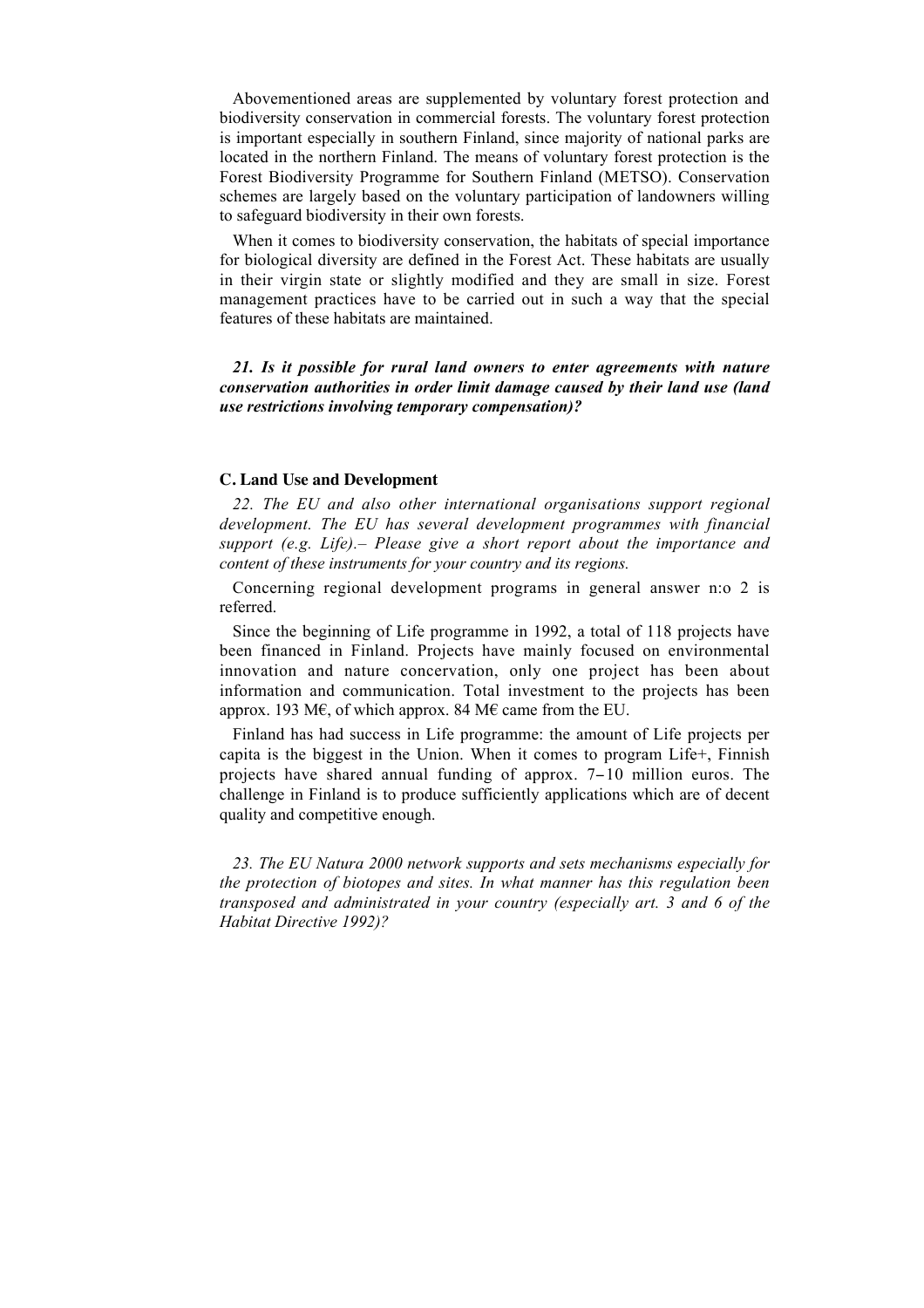Abovementioned areas are supplemented by voluntary forest protection and biodiversity conservation in commercial forests. The voluntary forest protection is important especially in southern Finland, since majority of national parks are located in the northern Finland. The means of voluntary forest protection is the Forest Biodiversity Programme for Southern Finland (METSO). Conservation schemes are largely based on the voluntary participation of landowners willing to safeguard biodiversity in their own forests.

When it comes to biodiversity conservation, the habitats of special importance for biological diversity are defined in the Forest Act. These habitats are usually in their virgin state or slightly modified and they are small in size. Forest management practices have to be carried out in such a way that the special features of these habitats are maintained.

*21. Is it possible for rural land owners to enter agreements with nature conservation authorities in order limit damage caused by their land use (land use restrictions involving temporary compensation)?*

#### **C. Land Use and Development**

*22. The EU and also other international organisations support regional development. The EU has several development programmes with financial support (e.g. Life).– Please give a short report about the importance and content of these instruments for your country and its regions.*

Concerning regional development programs in general answer n:o 2 is referred.

Since the beginning of Life programme in 1992, a total of 118 projects have been financed in Finland. Projects have mainly focused on environmental innovation and nature concervation, only one project has been about information and communication. Total investment to the projects has been approx. 193 M€, of which approx. 84 M€ came from the EU.

Finland has had success in Life programme: the amount of Life projects per capita is the biggest in the Union. When it comes to program Life+, Finnish projects have shared annual funding of approx. 7−10 million euros. The challenge in Finland is to produce sufficiently applications which are of decent quality and competitive enough.

*23. The EU Natura 2000 network supports and sets mechanisms especially for the protection of biotopes and sites. In what manner has this regulation been transposed and administrated in your country (especially art. 3 and 6 of the Habitat Directive 1992)?*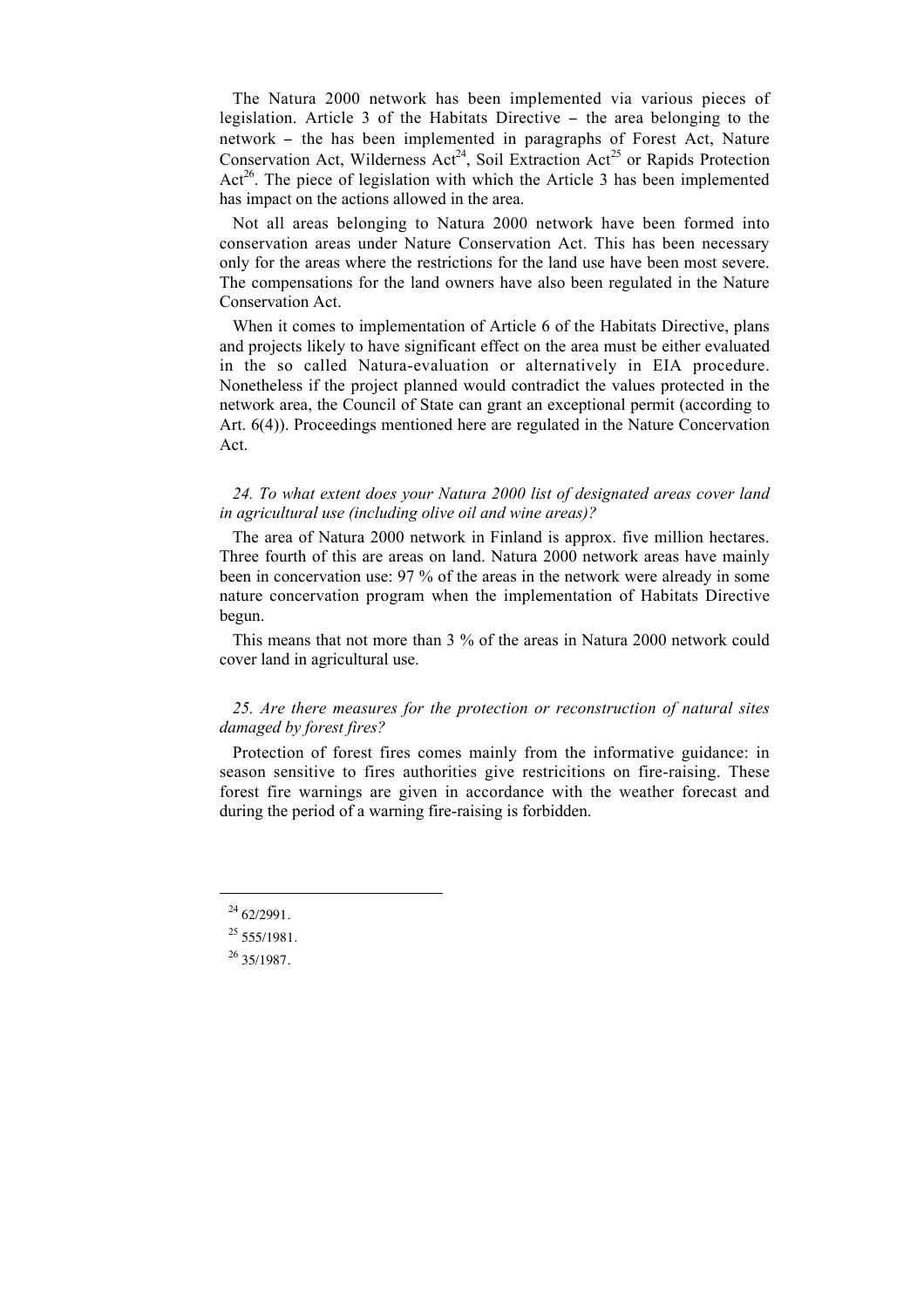The Natura 2000 network has been implemented via various pieces of legislation. Article 3 of the Habitats Directive − the area belonging to the network − the has been implemented in paragraphs of Forest Act, Nature Conservation Act, Wilderness  $Act^{24}$ , Soil Extraction Act<sup>25</sup> or Rapids Protection Act<sup>26</sup>. The piece of legislation with which the Article 3 has been implemented has impact on the actions allowed in the area.

Not all areas belonging to Natura 2000 network have been formed into conservation areas under Nature Conservation Act. This has been necessary only for the areas where the restrictions for the land use have been most severe. The compensations for the land owners have also been regulated in the Nature Conservation Act.

When it comes to implementation of Article 6 of the Habitats Directive, plans and projects likely to have significant effect on the area must be either evaluated in the so called Natura-evaluation or alternatively in EIA procedure. Nonetheless if the project planned would contradict the values protected in the network area, the Council of State can grant an exceptional permit (according to Art. 6(4)). Proceedings mentioned here are regulated in the Nature Concervation Act.

### *24. To what extent does your Natura 2000 list of designated areas cover land in agricultural use (including olive oil and wine areas)?*

The area of Natura 2000 network in Finland is approx. five million hectares. Three fourth of this are areas on land. Natura 2000 network areas have mainly been in concervation use: 97 % of the areas in the network were already in some nature concervation program when the implementation of Habitats Directive begun.

This means that not more than 3 % of the areas in Natura 2000 network could cover land in agricultural use.

## *25. Are there measures for the protection or reconstruction of natural sites damaged by forest fires?*

Protection of forest fires comes mainly from the informative guidance: in season sensitive to fires authorities give restricitions on fire-raising. These forest fire warnings are given in accordance with the weather forecast and during the period of a warning fire-raising is forbidden.

 $^{24}$  62/2991.

 $^{25}$  555/1981.

 $^{26}$  35/1987.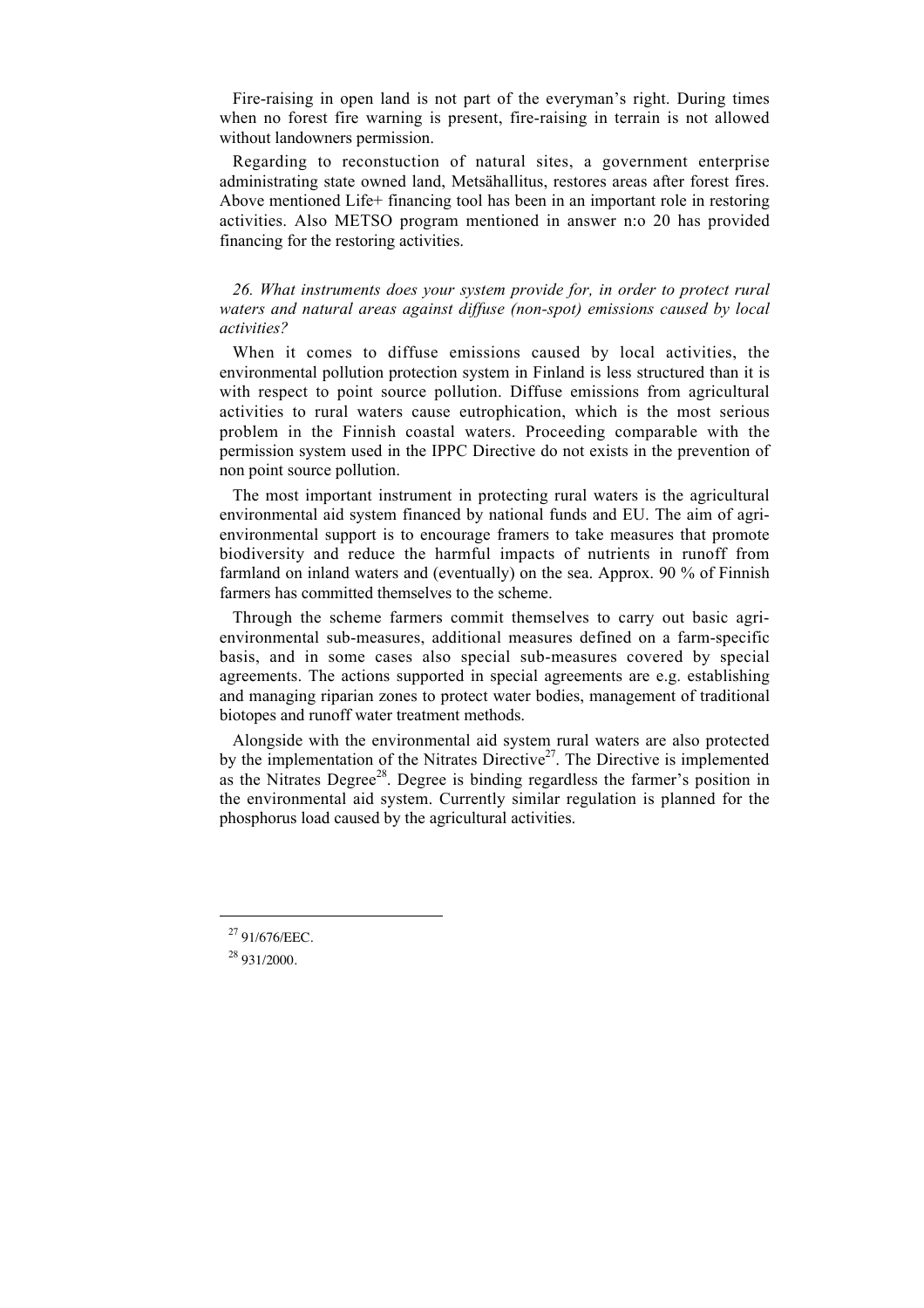Fire-raising in open land is not part of the everyman's right. During times when no forest fire warning is present, fire-raising in terrain is not allowed without landowners permission.

Regarding to reconstuction of natural sites, a government enterprise administrating state owned land, Metsähallitus, restores areas after forest fires. Above mentioned Life+ financing tool has been in an important role in restoring activities. Also METSO program mentioned in answer n:o 20 has provided financing for the restoring activities.

*26. What instruments does your system provide for, in order to protect rural waters and natural areas against diffuse (non-spot) emissions caused by local activities?*

When it comes to diffuse emissions caused by local activities, the environmental pollution protection system in Finland is less structured than it is with respect to point source pollution. Diffuse emissions from agricultural activities to rural waters cause eutrophication, which is the most serious problem in the Finnish coastal waters. Proceeding comparable with the permission system used in the IPPC Directive do not exists in the prevention of non point source pollution.

The most important instrument in protecting rural waters is the agricultural environmental aid system financed by national funds and EU. The aim of agrienvironmental support is to encourage framers to take measures that promote biodiversity and reduce the harmful impacts of nutrients in runoff from farmland on inland waters and (eventually) on the sea. Approx. 90 % of Finnish farmers has committed themselves to the scheme.

Through the scheme farmers commit themselves to carry out basic agrienvironmental sub-measures, additional measures defined on a farm-specific basis, and in some cases also special sub-measures covered by special agreements. The actions supported in special agreements are e.g. establishing and managing riparian zones to protect water bodies, management of traditional biotopes and runoff water treatment methods.

Alongside with the environmental aid system rural waters are also protected by the implementation of the Nitrates Directive<sup>27</sup>. The Directive is implemented as the Nitrates Degree<sup>28</sup>. Degree is binding regardless the farmer's position in the environmental aid system. Currently similar regulation is planned for the phosphorus load caused by the agricultural activities.

<sup>&</sup>lt;sup>27</sup> 91/676/EEC.

<sup>&</sup>lt;sup>28</sup> 931/2000.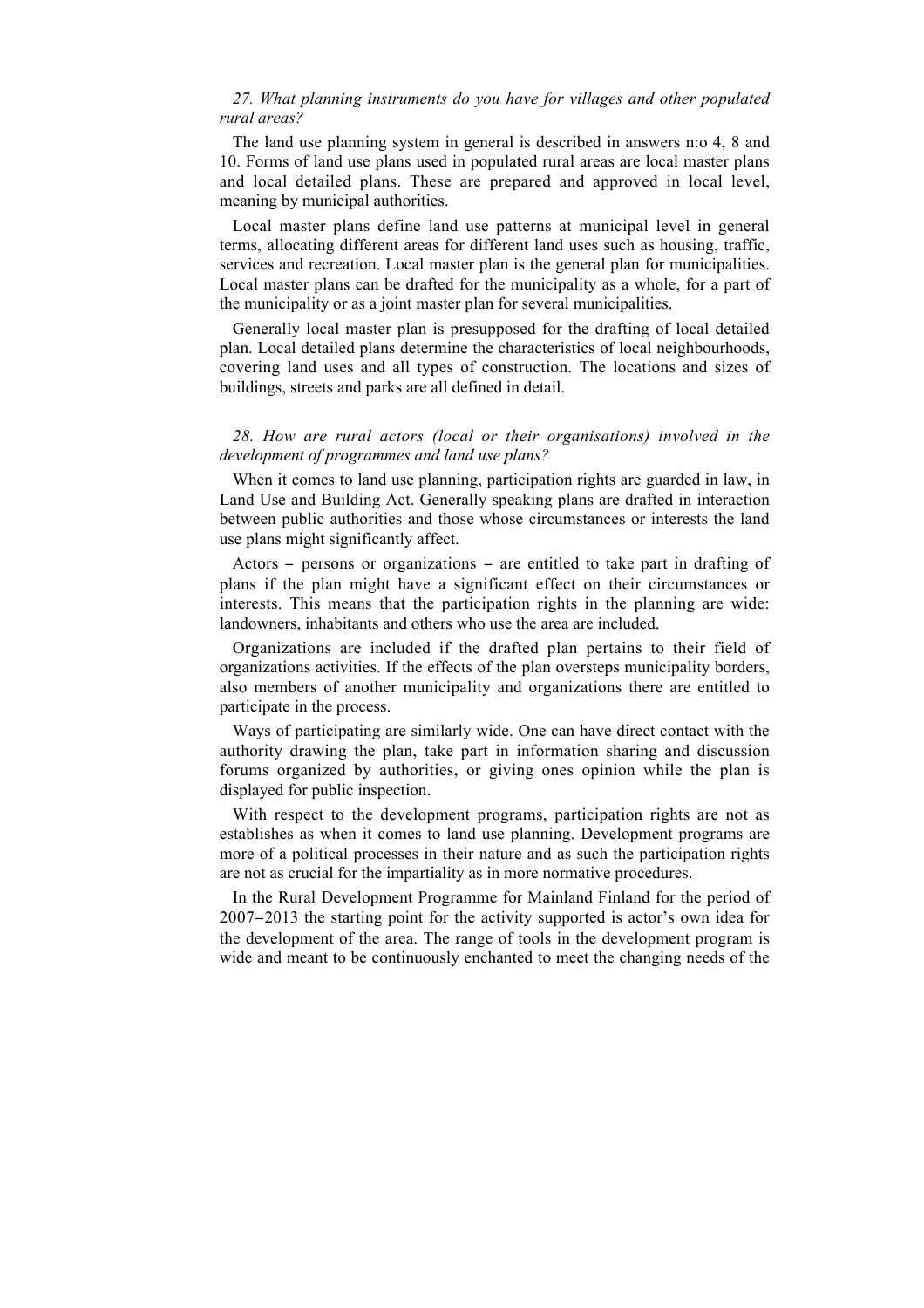## *27. What planning instruments do you have for villages and other populated rural areas?*

The land use planning system in general is described in answers n:o 4, 8 and 10. Forms of land use plans used in populated rural areas are local master plans and local detailed plans. These are prepared and approved in local level, meaning by municipal authorities.

Local master plans define land use patterns at municipal level in general terms, allocating different areas for different land uses such as housing, traffic, services and recreation. Local master plan is the general plan for municipalities. Local master plans can be drafted for the municipality as a whole, for a part of the municipality or as a joint master plan for several municipalities.

Generally local master plan is presupposed for the drafting of local detailed plan. Local detailed plans determine the characteristics of local neighbourhoods, covering land uses and all types of construction. The locations and sizes of buildings, streets and parks are all defined in detail.

## *28. How are rural actors (local or their organisations) involved in the development of programmes and land use plans?*

When it comes to land use planning, participation rights are guarded in law, in Land Use and Building Act. Generally speaking plans are drafted in interaction between public authorities and those whose circumstances or interests the land use plans might significantly affect.

Actors − persons or organizations − are entitled to take part in drafting of plans if the plan might have a significant effect on their circumstances or interests. This means that the participation rights in the planning are wide: landowners, inhabitants and others who use the area are included.

Organizations are included if the drafted plan pertains to their field of organizations activities. If the effects of the plan oversteps municipality borders, also members of another municipality and organizations there are entitled to participate in the process.

Ways of participating are similarly wide. One can have direct contact with the authority drawing the plan, take part in information sharing and discussion forums organized by authorities, or giving ones opinion while the plan is displayed for public inspection.

With respect to the development programs, participation rights are not as establishes as when it comes to land use planning. Development programs are more of a political processes in their nature and as such the participation rights are not as crucial for the impartiality as in more normative procedures.

In the Rural Development Programme for Mainland Finland for the period of 2007−2013 the starting point for the activity supported is actor's own idea for the development of the area. The range of tools in the development program is wide and meant to be continuously enchanted to meet the changing needs of the